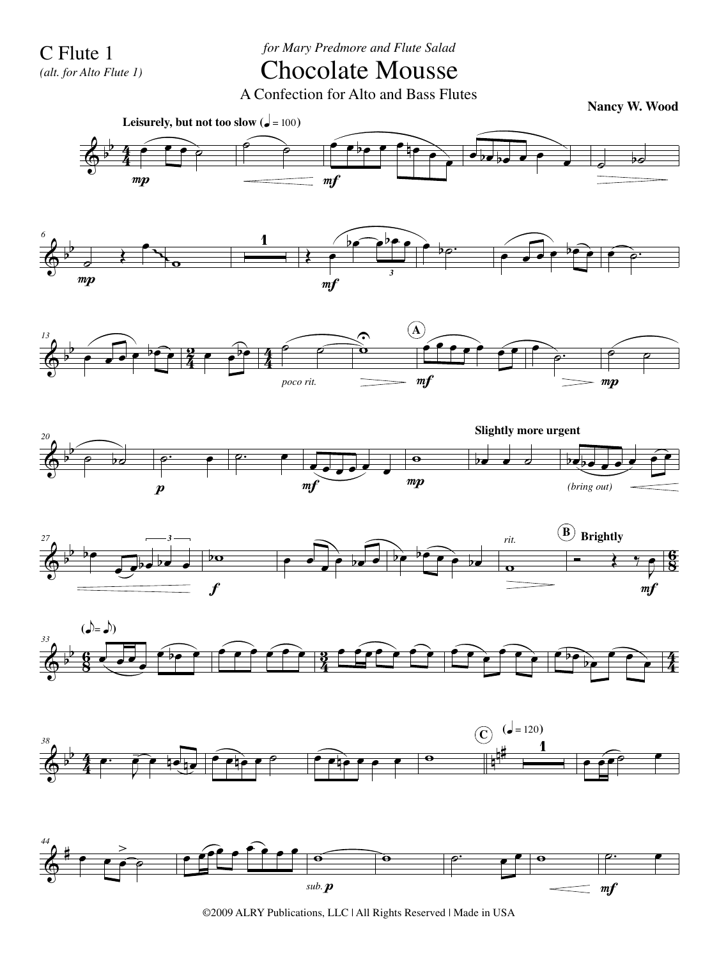C Flute 1

*(alt. for Alto Flute 1)*

*for Mary Predmore and Flute Salad*

## Chocolate Mousse

A Confection for Alto and Bass Flutes

**Nancy W. Wood**



©2009 ALRY Publications, LLC | All Rights Reserved | Made in USA